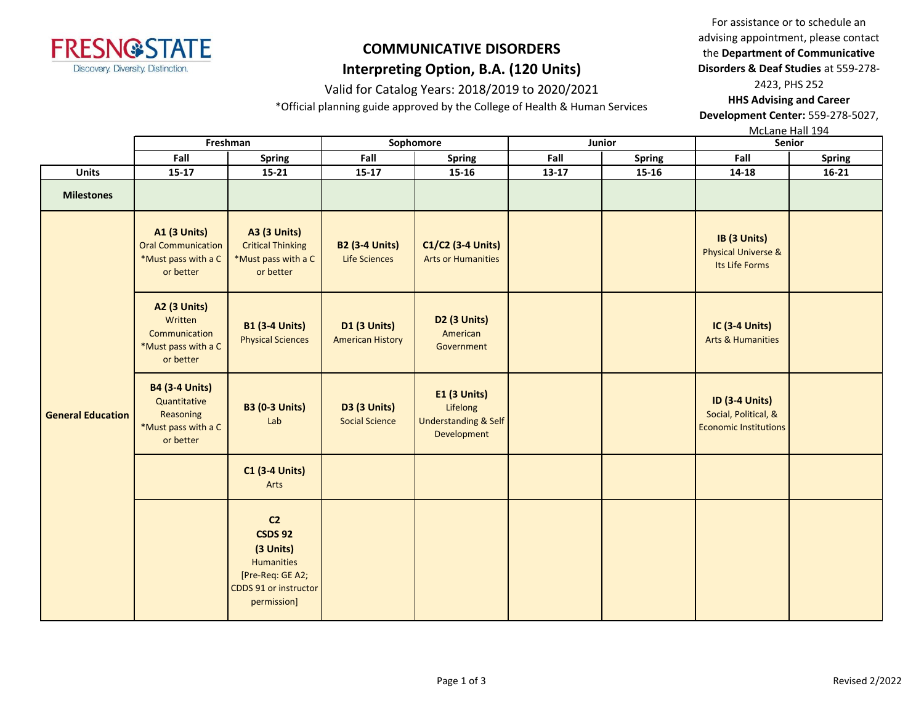

### Valid for Catalog Years: 2018/2019 to 2020/2021

\*Official planning guide approved by the College of Health & Human Services

For assistance or to schedule an advising appointment, please contact the **Department of Communicative Disorders & Deaf Studies** at 559-278- 2423, PHS 252

**HHS Advising and Career Development Center:** 559-278-5027,

McLane Hall 194

|                          | Freshman                                                                               |                                                                                                                         | Sophomore                                      |                                                                                   |       | Junior    | Senior                                                                        |               |
|--------------------------|----------------------------------------------------------------------------------------|-------------------------------------------------------------------------------------------------------------------------|------------------------------------------------|-----------------------------------------------------------------------------------|-------|-----------|-------------------------------------------------------------------------------|---------------|
| Fall                     |                                                                                        | Fall<br>Spring                                                                                                          |                                                | <b>Spring</b>                                                                     | Fall  | Spring    | Fall                                                                          | <b>Spring</b> |
| <b>Units</b>             | $15 - 17$<br>$15 - 21$                                                                 |                                                                                                                         | $15 - 17$                                      | $15 - 16$                                                                         | 13-17 | $15 - 16$ | 14-18                                                                         | $16 - 21$     |
| <b>Milestones</b>        |                                                                                        |                                                                                                                         |                                                |                                                                                   |       |           |                                                                               |               |
| <b>General Education</b> | <b>A1 (3 Units)</b><br><b>Oral Communication</b><br>*Must pass with a C<br>or better   | <b>A3 (3 Units)</b><br><b>Critical Thinking</b><br>*Must pass with a C<br>or better                                     | <b>B2 (3-4 Units)</b><br><b>Life Sciences</b>  | C1/C2 (3-4 Units)<br><b>Arts or Humanities</b>                                    |       |           | IB (3 Units)<br><b>Physical Universe &amp;</b><br>Its Life Forms              |               |
|                          | <b>A2 (3 Units)</b><br>Written<br>Communication<br>*Must pass with a C<br>or better    | <b>B1 (3-4 Units)</b><br><b>Physical Sciences</b>                                                                       | <b>D1 (3 Units)</b><br><b>American History</b> | D2 (3 Units)<br>American<br>Government                                            |       |           | <b>IC (3-4 Units)</b><br><b>Arts &amp; Humanities</b>                         |               |
|                          | <b>B4 (3-4 Units)</b><br>Quantitative<br>Reasoning<br>*Must pass with a C<br>or better | <b>B3 (0-3 Units)</b><br>Lab                                                                                            | <b>D3 (3 Units)</b><br><b>Social Science</b>   | <b>E1 (3 Units)</b><br>Lifelong<br><b>Understanding &amp; Self</b><br>Development |       |           | <b>ID (3-4 Units)</b><br>Social, Political, &<br><b>Economic Institutions</b> |               |
|                          |                                                                                        | <b>C1 (3-4 Units)</b><br>Arts                                                                                           |                                                |                                                                                   |       |           |                                                                               |               |
|                          |                                                                                        | C <sub>2</sub><br><b>CSDS 92</b><br>(3 Units)<br>Humanities<br>[Pre-Req: GE A2;<br>CDDS 91 or instructor<br>permission] |                                                |                                                                                   |       |           |                                                                               |               |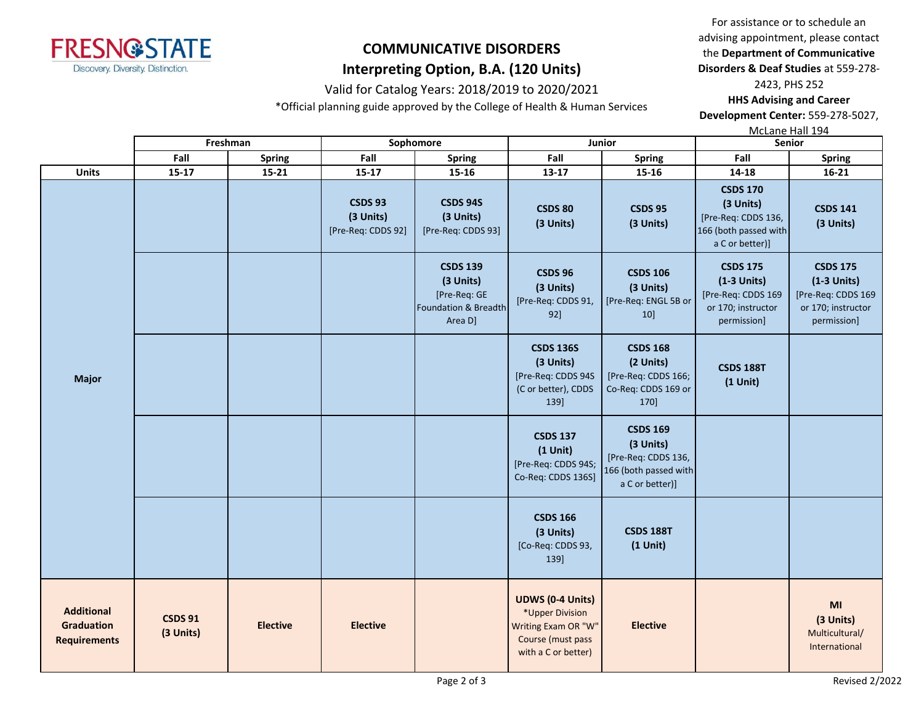

### Valid for Catalog Years: 2018/2019 to 2020/2021

\*Official planning guide approved by the College of Health & Human Services

For assistance or to schedule an advising appointment, please contact the **Department of Communicative Disorders & Deaf Studies** at 559-278-

2423, PHS 252 **HHS Advising and Career Development Center:** 559-278-5027,

McLane Hall 194

|                                                               | Freshman                    |                 | Sophomore                                         |                                                                                 | Junior                                                                                                        |                                                                                                 | Senior                                                                                          |                                                                                             |
|---------------------------------------------------------------|-----------------------------|-----------------|---------------------------------------------------|---------------------------------------------------------------------------------|---------------------------------------------------------------------------------------------------------------|-------------------------------------------------------------------------------------------------|-------------------------------------------------------------------------------------------------|---------------------------------------------------------------------------------------------|
|                                                               | Fall                        | Spring          | Fall                                              | Fall<br><b>Spring</b><br><b>Spring</b>                                          |                                                                                                               |                                                                                                 | Fall                                                                                            | <b>Spring</b>                                                                               |
| <b>Units</b>                                                  | 15-17                       | $15 - 21$       | 15-17                                             | 15-16                                                                           | 13-17                                                                                                         | 15-16                                                                                           | 14-18                                                                                           | 16-21                                                                                       |
| <b>Major</b>                                                  |                             |                 | <b>CSDS 93</b><br>(3 Units)<br>[Pre-Req: CDDS 92] | <b>CSDS 94S</b><br>(3 Units)<br>[Pre-Req: CDDS 93]                              | <b>CSDS 80</b><br>(3 Units)                                                                                   | <b>CSDS 95</b><br>(3 Units)                                                                     | <b>CSDS 170</b><br>(3 Units)<br>[Pre-Req: CDDS 136,<br>166 (both passed with<br>a C or better)] | <b>CSDS 141</b><br>(3 Units)                                                                |
|                                                               |                             |                 |                                                   | <b>CSDS 139</b><br>(3 Units)<br>[Pre-Req: GE<br>Foundation & Breadth<br>Area D] | <b>CSDS 96</b><br>(3 Units)<br>[Pre-Req: CDDS 91,<br>92]                                                      | <b>CSDS 106</b><br>(3 Units)<br>[Pre-Req: ENGL 5B or<br>10]                                     | <b>CSDS 175</b><br>$(1-3$ Units)<br>[Pre-Req: CDDS 169<br>or 170; instructor<br>permission]     | <b>CSDS 175</b><br>$(1-3$ Units)<br>[Pre-Req: CDDS 169<br>or 170; instructor<br>permission] |
|                                                               |                             |                 |                                                   |                                                                                 | <b>CSDS 136S</b><br>(3 Units)<br>[Pre-Req: CDDS 94S<br>(C or better), CDDS<br>139]                            | <b>CSDS 168</b><br>(2 Units)<br>[Pre-Req: CDDS 166;<br>Co-Req: CDDS 169 or<br>170]              | <b>CSDS 188T</b><br>$(1$ Unit)                                                                  |                                                                                             |
|                                                               |                             |                 |                                                   |                                                                                 | <b>CSDS 137</b><br>$(1$ Unit)<br>[Pre-Req: CDDS 94S;<br>Co-Req: CDDS 136S]                                    | <b>CSDS 169</b><br>(3 Units)<br>[Pre-Req: CDDS 136,<br>166 (both passed with<br>a C or better)] |                                                                                                 |                                                                                             |
|                                                               |                             |                 |                                                   |                                                                                 | <b>CSDS 166</b><br>(3 Units)<br>[Co-Req: CDDS 93,<br>139]                                                     | <b>CSDS 188T</b><br>$(1$ Unit)                                                                  |                                                                                                 |                                                                                             |
| <b>Additional</b><br><b>Graduation</b><br><b>Requirements</b> | <b>CSDS 91</b><br>(3 Units) | <b>Elective</b> | <b>Elective</b>                                   |                                                                                 | <b>UDWS (0-4 Units)</b><br>*Upper Division<br>Writing Exam OR "W"<br>Course (must pass<br>with a C or better) | <b>Elective</b>                                                                                 |                                                                                                 | MI<br>(3 Units)<br>Multicultural/<br>International                                          |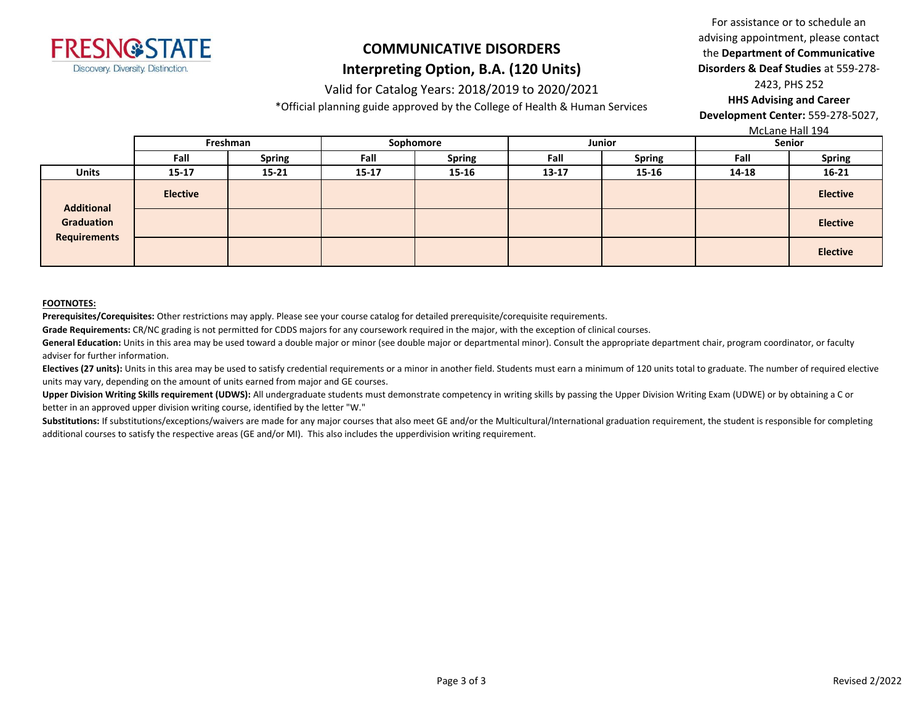

#### Valid for Catalog Years: 2018/2019 to 2020/2021

\*Official planning guide approved by the College of Health & Human Services

For assistance or to schedule an advising appointment, please contact the **Department of Communicative Disorders & Deaf Studies** at 559-278- 2423, PHS 252

**HHS Advising and Career Development Center:** 559-278-5027,

McLane Hall 194

|                                                        |                 | <b>IVICLATIC LIGHT 177</b> |           |               |           |               |               |                 |
|--------------------------------------------------------|-----------------|----------------------------|-----------|---------------|-----------|---------------|---------------|-----------------|
|                                                        | Freshman        |                            | Sophomore |               | Junior    |               | <b>Senior</b> |                 |
|                                                        | Fall            | <b>Spring</b>              | Fall      | <b>Spring</b> | Fall      | <b>Spring</b> | Fall          | <b>Spring</b>   |
| <b>Units</b>                                           | $15 - 17$       | $15 - 21$                  | 15-17     | 15-16         | $13 - 17$ | $15 - 16$     | 14-18         | $16 - 21$       |
| <b>Additional</b><br>Graduation<br><b>Requirements</b> | <b>Elective</b> |                            |           |               |           |               |               | <b>Elective</b> |
|                                                        |                 |                            |           |               |           |               |               | <b>Elective</b> |
|                                                        |                 |                            |           |               |           |               |               | <b>Elective</b> |

#### **FOOTNOTES:**

**Prerequisites/Corequisites:** Other restrictions may apply. Please see your course catalog for detailed prerequisite/corequisite requirements.

**Grade Requirements:** CR/NC grading is not permitted for CDDS majors for any coursework required in the major, with the exception of clinical courses.

General Education: Units in this area may be used toward a double major or minor (see double major or departmental minor). Consult the appropriate department chair, program coordinator, or faculty adviser for further information.

Electives (27 units): Units in this area may be used to satisfy credential requirements or a minor in another field. Students must earn a minimum of 120 units total to graduate. The number of required elective units may vary, depending on the amount of units earned from major and GE courses.

Upper Division Writing Skills requirement (UDWS): All undergraduate students must demonstrate competency in writing skills by passing the Upper Division Writing Exam (UDWE) or by obtaining a C or better in an approved upper division writing course, identified by the letter "W."

Substitutions: If substitutions/exceptions/waivers are made for any major courses that also meet GE and/or the Multicultural/International graduation requirement, the student is responsible for completing additional courses to satisfy the respective areas (GE and/or MI). This also includes the upperdivision writing requirement.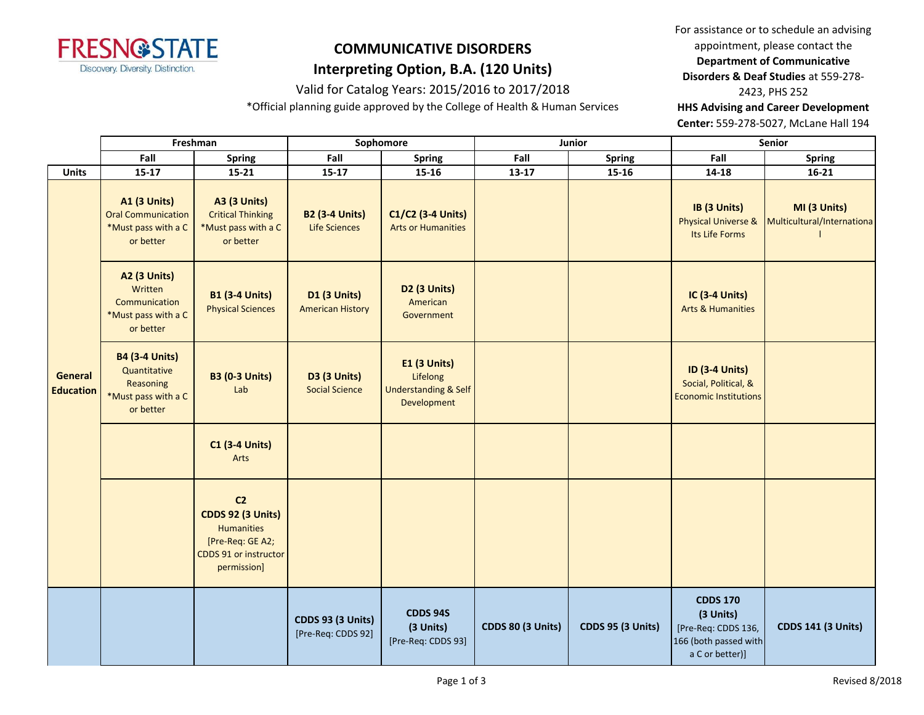

### Valid for Catalog Years: 2015/2016 to 2017/2018

\*Official planning guide approved by the College of Health & Human Services

For assistance or to schedule an advising appointment, please contact the **Department of Communicative Disorders & Deaf Studies** at 559-278- 2423, PHS 252 **HHS Advising and Career Development Center:** 559-278-5027, McLane Hall 194

**Fall Spring Fall Spring Fall Spring Fall Spring Units 15-17 15-21 15-17 15-16 13-17 15-16 14-18 16-21 A1 (3 Units)** Oral Communication \*Must pass with a C or better **A3 (3 Units)** Critical Thinking \*Must pass with a C or better **B2 (3-4 Units)** Life Sciences **C1/C2 (3-4 Units)** Arts or Humanities **IB (3 Units)** Physical Universe & Its Life Forms **MI (3 Units)** Multicultural/Internationa l **A2 (3 Units) Written** Communication \*Must pass with a C or better **B1 (3-4 Units)** Physical Sciences **D1 (3 Units)** American History **D2 (3 Units)** American Government **IC (3-4 Units)** Arts & Humanities **B4 (3-4 Units) Quantitative** Reasoning \*Must pass with a C or better **B3 (0-3 Units)** Lab **D3 (3 Units)** Social Science **E1 (3 Units)** Lifelong Understanding & Self Development **ID (3-4 Units)** Social, Political, & Economic Institutions **C1 (3-4 Units)** Arts **C2 CDDS 92 (3 Units) Humanities** [Pre-Req: GE A2; CDDS 91 or instructor permission] **CDDS 93 (3 Units)** [Pre-Req: CDDS 92] **CDDS 94S (3 Units)** [Pre-Req: CDDS 93] **CDDS 80 (3 Units) CDDS 95 (3 Units) CDDS 170 (3 Units)** [Pre-Req: CDDS 136, 166 (both passed with a C or better)] **CDDS 141 (3 Units) Freshman Sophomore Junior Senior General Education**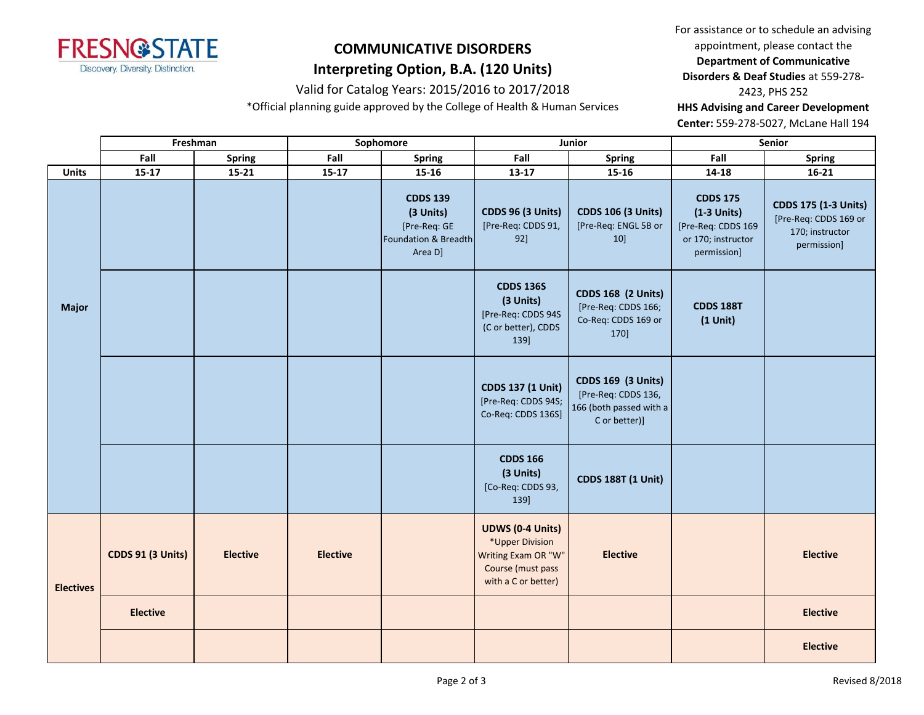

#### Valid for Catalog Years: 2015/2016 to 2017/2018

\*Official planning guide approved by the College of Health & Human Services

For assistance or to schedule an advising appointment, please contact the **Department of Communicative Disorders & Deaf Studies** at 559-278- 2423, PHS 252 **HHS Advising and Career Development Center:** 559-278-5027, McLane Hall 194

|                  | Freshman                 |                 | Sophomore       |                                                                                 |                                                                                                               | Junior                                                                                       | Senior                                                                                      |                                                                                        |  |
|------------------|--------------------------|-----------------|-----------------|---------------------------------------------------------------------------------|---------------------------------------------------------------------------------------------------------------|----------------------------------------------------------------------------------------------|---------------------------------------------------------------------------------------------|----------------------------------------------------------------------------------------|--|
|                  | Fall                     | <b>Spring</b>   | Fall            | Spring                                                                          | Fall                                                                                                          | Spring                                                                                       | Fall                                                                                        | <b>Spring</b>                                                                          |  |
| <b>Units</b>     | $15 - 17$                | $15 - 21$       | $15 - 17$       | 15-16                                                                           | $13 - 17$                                                                                                     | $15 - 16$                                                                                    | $14 - 18$                                                                                   | $16 - 21$                                                                              |  |
|                  |                          |                 |                 | <b>CDDS 139</b><br>(3 Units)<br>[Pre-Req: GE<br>Foundation & Breadth<br>Area D] | <b>CDDS 96 (3 Units)</b><br>[Pre-Req: CDDS 91,<br>92]                                                         | <b>CDDS 106 (3 Units)</b><br>[Pre-Req: ENGL 5B or<br>10]                                     | <b>CDDS 175</b><br>$(1-3$ Units)<br>[Pre-Req: CDDS 169<br>or 170; instructor<br>permission] | <b>CDDS 175 (1-3 Units)</b><br>[Pre-Req: CDDS 169 or<br>170; instructor<br>permission] |  |
| Major            |                          |                 |                 |                                                                                 | <b>CDDS 136S</b><br>(3 Units)<br>[Pre-Req: CDDS 94S<br>(C or better), CDDS<br>139]                            | <b>CDDS 168 (2 Units)</b><br>[Pre-Req: CDDS 166;<br>Co-Req: CDDS 169 or<br>170]              | <b>CDDS 188T</b><br>$(1$ Unit)                                                              |                                                                                        |  |
|                  |                          |                 |                 |                                                                                 | <b>CDDS 137 (1 Unit)</b><br>[Pre-Req: CDDS 94S;<br>Co-Req: CDDS 136S]                                         | <b>CDDS 169 (3 Units)</b><br>[Pre-Req: CDDS 136,<br>166 (both passed with a<br>C or better)] |                                                                                             |                                                                                        |  |
|                  |                          |                 |                 |                                                                                 | <b>CDDS 166</b><br>(3 Units)<br>[Co-Req: CDDS 93,<br>139]                                                     | <b>CDDS 188T (1 Unit)</b>                                                                    |                                                                                             |                                                                                        |  |
| <b>Electives</b> | <b>CDDS 91 (3 Units)</b> | <b>Elective</b> | <b>Elective</b> |                                                                                 | <b>UDWS (0-4 Units)</b><br>*Upper Division<br>Writing Exam OR "W"<br>Course (must pass<br>with a C or better) | <b>Elective</b>                                                                              |                                                                                             | <b>Elective</b>                                                                        |  |
|                  | <b>Elective</b>          |                 |                 |                                                                                 |                                                                                                               |                                                                                              |                                                                                             | <b>Elective</b>                                                                        |  |
|                  |                          |                 |                 |                                                                                 |                                                                                                               |                                                                                              |                                                                                             | <b>Elective</b>                                                                        |  |